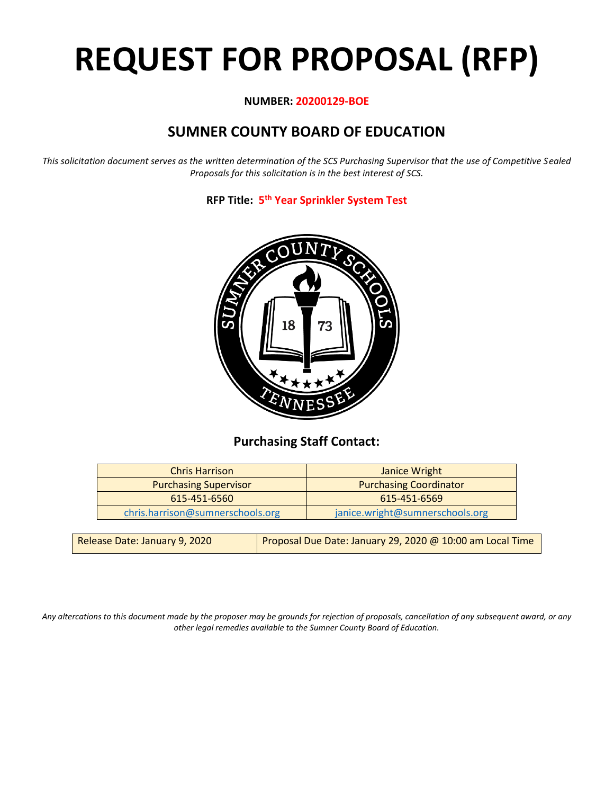# **REQUEST FOR PROPOSAL (RFP)**

#### **NUMBER: 20200129-BOE**

# **SUMNER COUNTY BOARD OF EDUCATION**

*This solicitation document serves as the written determination of the SCS Purchasing Supervisor that the use of Competitive Sealed Proposals for this solicitation is in the best interest of SCS.*

**RFP Title: 5 th Year Sprinkler System Test**



## **Purchasing Staff Contact:**

| <b>Chris Harrison</b>            | Janice Wright                   |
|----------------------------------|---------------------------------|
| <b>Purchasing Supervisor</b>     | <b>Purchasing Coordinator</b>   |
| 615-451-6560                     | 615-451-6569                    |
| chris.harrison@sumnerschools.org | janice.wright@sumnerschools.org |
|                                  |                                 |

| Release Date: January 9, 2020 | Proposal Due Date: January 29, 2020 @ 10:00 am Local Time |
|-------------------------------|-----------------------------------------------------------|
|-------------------------------|-----------------------------------------------------------|

*Any altercations to this document made by the proposer may be grounds for rejection of proposals, cancellation of any subsequent award, or any other legal remedies available to the Sumner County Board of Education.*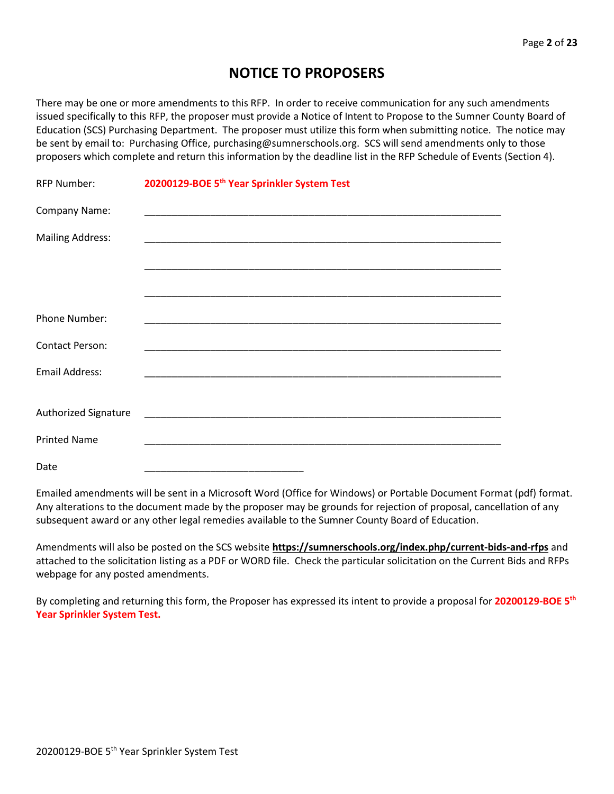## **NOTICE TO PROPOSERS**

There may be one or more amendments to this RFP. In order to receive communication for any such amendments issued specifically to this RFP, the proposer must provide a Notice of Intent to Propose to the Sumner County Board of Education (SCS) Purchasing Department. The proposer must utilize this form when submitting notice. The notice may be sent by email to: Purchasing Office, purchasing@sumnerschools.org. SCS will send amendments only to those proposers which complete and return this information by the deadline list in the RFP Schedule of Events (Section 4).

| <b>RFP Number:</b>      | 20200129-BOE 5 <sup>th</sup> Year Sprinkler System Test                                                              |
|-------------------------|----------------------------------------------------------------------------------------------------------------------|
| Company Name:           |                                                                                                                      |
| <b>Mailing Address:</b> | <u> 1989 - Johann John Stone, market fan it ferskearre fan it ferskearre fan it ferskearre fan it ferskearre fan</u> |
|                         |                                                                                                                      |
|                         |                                                                                                                      |
| Phone Number:           |                                                                                                                      |
| <b>Contact Person:</b>  |                                                                                                                      |
| Email Address:          |                                                                                                                      |
|                         |                                                                                                                      |
| Authorized Signature    |                                                                                                                      |
| <b>Printed Name</b>     |                                                                                                                      |
| Date                    |                                                                                                                      |

Emailed amendments will be sent in a Microsoft Word (Office for Windows) or Portable Document Format (pdf) format. Any alterations to the document made by the proposer may be grounds for rejection of proposal, cancellation of any subsequent award or any other legal remedies available to the Sumner County Board of Education.

Amendments will also be posted on the SCS website **https://sumnerschools.org/index.php/current-bids-and-rfps** and attached to the solicitation listing as a PDF or WORD file. Check the particular solicitation on the Current Bids and RFPs webpage for any posted amendments.

By completing and returning this form, the Proposer has expressed its intent to provide a proposal for **20200129-BOE 5th Year Sprinkler System Test.**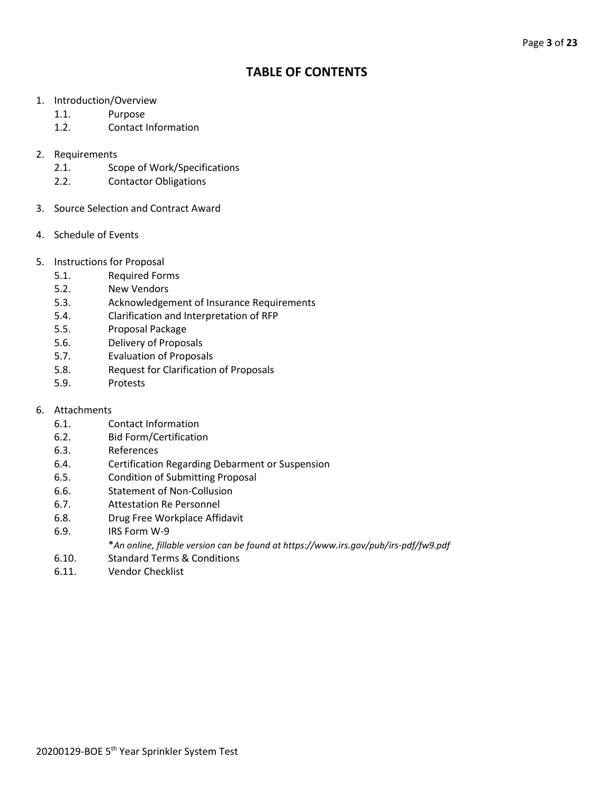## **TABLE OF CONTENTS**

- 1. Introduction/Overview
	- 1.1. Purpose
	- 1.2. Contact Information
- 2. Requirements
	- 2.1. Scope of Work/Specifications
	- 2.2. Contactor Obligations
- 3. Source Selection and Contract Award
- 4. Schedule of Events
- 5. Instructions for Proposal
	- 5.1. Required Forms
	- 5.2. New Vendors
	- 5.3. Acknowledgement of Insurance Requirements
	- 5.4. Clarification and Interpretation of RFP
	- 5.5. Proposal Package
	- 5.6. Delivery of Proposals
	- 5.7. Evaluation of Proposals
	- 5.8. Request for Clarification of Proposals
	- 5.9. Protests
- 6. Attachments
	- 6.1. Contact Information
	- 6.2. Bid Form/Certification
	- 6.3. References
	- 6.4. Certification Regarding Debarment or Suspension
	- 6.5. Condition of Submitting Proposal
	- 6.6. Statement of Non-Collusion
	- 6.7. Attestation Re Personnel
	- 6.8. Drug Free Workplace Affidavit
	- 6.9. IRS Form W-9
		- \**An online, fillable version can be found at https://www.irs.gov/pub/irs-pdf/fw9.pdf*
	- 6.10. Standard Terms & Conditions
	- 6.11. Vendor Checklist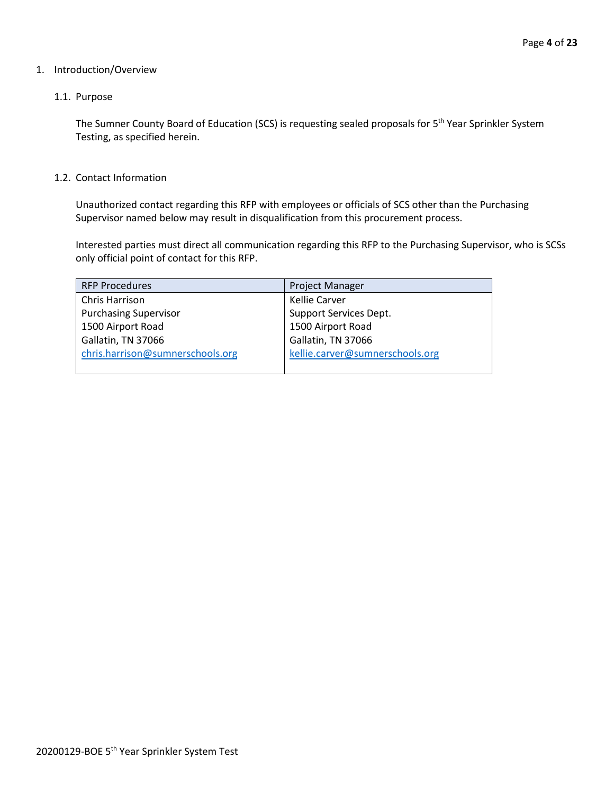#### 1. Introduction/Overview

#### 1.1. Purpose

The Sumner County Board of Education (SCS) is requesting sealed proposals for 5<sup>th</sup> Year Sprinkler System Testing, as specified herein.

1.2. Contact Information

Unauthorized contact regarding this RFP with employees or officials of SCS other than the Purchasing Supervisor named below may result in disqualification from this procurement process.

Interested parties must direct all communication regarding this RFP to the Purchasing Supervisor, who is SCSs only official point of contact for this RFP.

| <b>RFP Procedures</b>            | <b>Project Manager</b>          |
|----------------------------------|---------------------------------|
| Chris Harrison                   | Kellie Carver                   |
| <b>Purchasing Supervisor</b>     | Support Services Dept.          |
| 1500 Airport Road                | 1500 Airport Road               |
| Gallatin, TN 37066               | Gallatin, TN 37066              |
| chris.harrison@sumnerschools.org | kellie.carver@sumnerschools.org |
|                                  |                                 |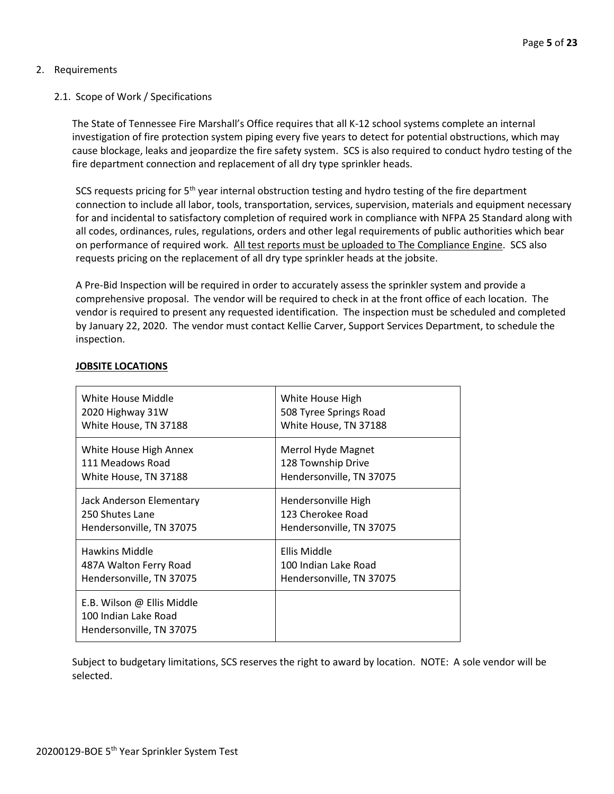#### 2. Requirements

#### 2.1. Scope of Work / Specifications

The State of Tennessee Fire Marshall's Office requires that all K-12 school systems complete an internal investigation of fire protection system piping every five years to detect for potential obstructions, which may cause blockage, leaks and jeopardize the fire safety system. SCS is also required to conduct hydro testing of the fire department connection and replacement of all dry type sprinkler heads.

SCS requests pricing for 5<sup>th</sup> year internal obstruction testing and hydro testing of the fire department connection to include all labor, tools, transportation, services, supervision, materials and equipment necessary for and incidental to satisfactory completion of required work in compliance with NFPA 25 Standard along with all codes, ordinances, rules, regulations, orders and other legal requirements of public authorities which bear on performance of required work. All test reports must be uploaded to The Compliance Engine. SCS also requests pricing on the replacement of all dry type sprinkler heads at the jobsite.

A Pre-Bid Inspection will be required in order to accurately assess the sprinkler system and provide a comprehensive proposal. The vendor will be required to check in at the front office of each location. The vendor is required to present any requested identification. The inspection must be scheduled and completed by January 22, 2020. The vendor must contact Kellie Carver, Support Services Department, to schedule the inspection.

| White House Middle                                                             | White House High         |
|--------------------------------------------------------------------------------|--------------------------|
| 2020 Highway 31W                                                               | 508 Tyree Springs Road   |
| White House, TN 37188                                                          | White House, TN 37188    |
| White House High Annex                                                         | Merrol Hyde Magnet       |
| 111 Meadows Road                                                               | 128 Township Drive       |
| White House, TN 37188                                                          | Hendersonville, TN 37075 |
| Jack Anderson Elementary                                                       | Hendersonville High      |
| 250 Shutes Lane                                                                | 123 Cherokee Road        |
| Hendersonville, TN 37075                                                       | Hendersonville, TN 37075 |
| Hawkins Middle                                                                 | <b>Ellis Middle</b>      |
| 487A Walton Ferry Road                                                         | 100 Indian Lake Road     |
| Hendersonville, TN 37075                                                       | Hendersonville, TN 37075 |
| E.B. Wilson @ Ellis Middle<br>100 Indian Lake Road<br>Hendersonville, TN 37075 |                          |

#### **JOBSITE LOCATIONS**

Subject to budgetary limitations, SCS reserves the right to award by location. NOTE: A sole vendor will be selected.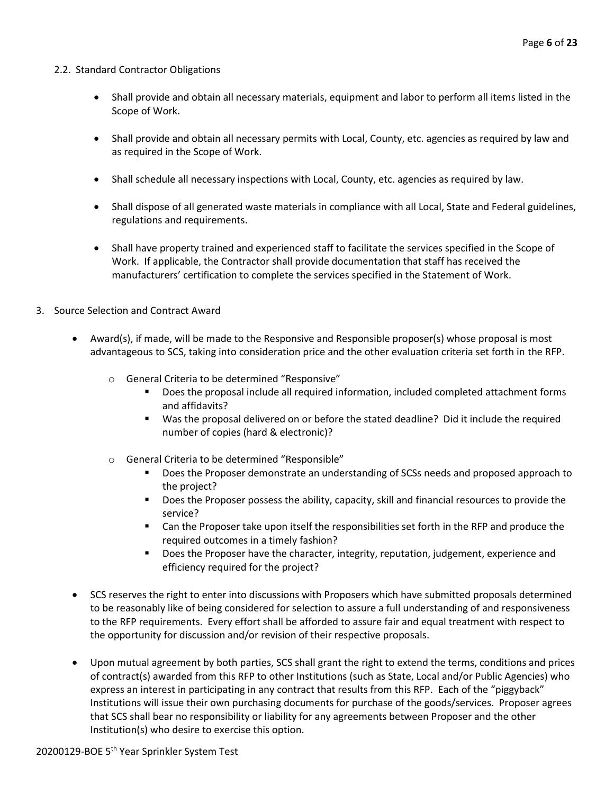#### 2.2. Standard Contractor Obligations

- Shall provide and obtain all necessary materials, equipment and labor to perform all items listed in the Scope of Work.
- Shall provide and obtain all necessary permits with Local, County, etc. agencies as required by law and as required in the Scope of Work.
- Shall schedule all necessary inspections with Local, County, etc. agencies as required by law.
- Shall dispose of all generated waste materials in compliance with all Local, State and Federal guidelines, regulations and requirements.
- Shall have property trained and experienced staff to facilitate the services specified in the Scope of Work. If applicable, the Contractor shall provide documentation that staff has received the manufacturers' certification to complete the services specified in the Statement of Work.
- 3. Source Selection and Contract Award
	- Award(s), if made, will be made to the Responsive and Responsible proposer(s) whose proposal is most advantageous to SCS, taking into consideration price and the other evaluation criteria set forth in the RFP.
		- o General Criteria to be determined "Responsive"
			- Does the proposal include all required information, included completed attachment forms and affidavits?
			- Was the proposal delivered on or before the stated deadline? Did it include the required number of copies (hard & electronic)?
		- o General Criteria to be determined "Responsible"
			- **•** Does the Proposer demonstrate an understanding of SCSs needs and proposed approach to the project?
			- Does the Proposer possess the ability, capacity, skill and financial resources to provide the service?
			- Can the Proposer take upon itself the responsibilities set forth in the RFP and produce the required outcomes in a timely fashion?
			- **■** Does the Proposer have the character, integrity, reputation, judgement, experience and efficiency required for the project?
	- SCS reserves the right to enter into discussions with Proposers which have submitted proposals determined to be reasonably like of being considered for selection to assure a full understanding of and responsiveness to the RFP requirements. Every effort shall be afforded to assure fair and equal treatment with respect to the opportunity for discussion and/or revision of their respective proposals.
	- Upon mutual agreement by both parties, SCS shall grant the right to extend the terms, conditions and prices of contract(s) awarded from this RFP to other Institutions (such as State, Local and/or Public Agencies) who express an interest in participating in any contract that results from this RFP. Each of the "piggyback" Institutions will issue their own purchasing documents for purchase of the goods/services. Proposer agrees that SCS shall bear no responsibility or liability for any agreements between Proposer and the other Institution(s) who desire to exercise this option.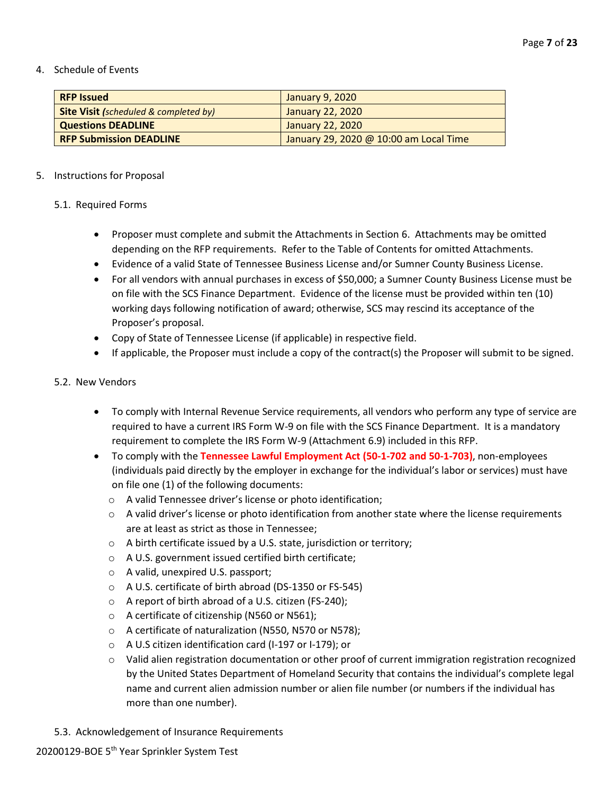#### 4. Schedule of Events

| <b>RFP Issued</b>                                | January 9, 2020                        |
|--------------------------------------------------|----------------------------------------|
| <b>Site Visit (scheduled &amp; completed by)</b> | January 22, 2020                       |
| <b>Questions DEADLINE</b>                        | January 22, 2020                       |
| <b>RFP Submission DEADLINE</b>                   | January 29, 2020 @ 10:00 am Local Time |

#### 5. Instructions for Proposal

#### 5.1. Required Forms

- Proposer must complete and submit the Attachments in Section 6. Attachments may be omitted depending on the RFP requirements. Refer to the Table of Contents for omitted Attachments.
- Evidence of a valid State of Tennessee Business License and/or Sumner County Business License.
- For all vendors with annual purchases in excess of \$50,000; a Sumner County Business License must be on file with the SCS Finance Department. Evidence of the license must be provided within ten (10) working days following notification of award; otherwise, SCS may rescind its acceptance of the Proposer's proposal.
- Copy of State of Tennessee License (if applicable) in respective field.
- If applicable, the Proposer must include a copy of the contract(s) the Proposer will submit to be signed.

#### 5.2. New Vendors

- To comply with Internal Revenue Service requirements, all vendors who perform any type of service are required to have a current IRS Form W-9 on file with the SCS Finance Department. It is a mandatory requirement to complete the IRS Form W-9 (Attachment 6.9) included in this RFP.
- To comply with the **Tennessee Lawful Employment Act (50-1-702 and 50-1-703)**, non-employees (individuals paid directly by the employer in exchange for the individual's labor or services) must have on file one (1) of the following documents:
	- o A valid Tennessee driver's license or photo identification;
	- $\circ$  A valid driver's license or photo identification from another state where the license requirements are at least as strict as those in Tennessee;
	- o A birth certificate issued by a U.S. state, jurisdiction or territory;
	- o A U.S. government issued certified birth certificate;
	- o A valid, unexpired U.S. passport;
	- o A U.S. certificate of birth abroad (DS-1350 or FS-545)
	- o A report of birth abroad of a U.S. citizen (FS-240);
	- o A certificate of citizenship (N560 or N561);
	- o A certificate of naturalization (N550, N570 or N578);
	- o A U.S citizen identification card (I-197 or I-179); or
	- o Valid alien registration documentation or other proof of current immigration registration recognized by the United States Department of Homeland Security that contains the individual's complete legal name and current alien admission number or alien file number (or numbers if the individual has more than one number).
- 5.3. Acknowledgement of Insurance Requirements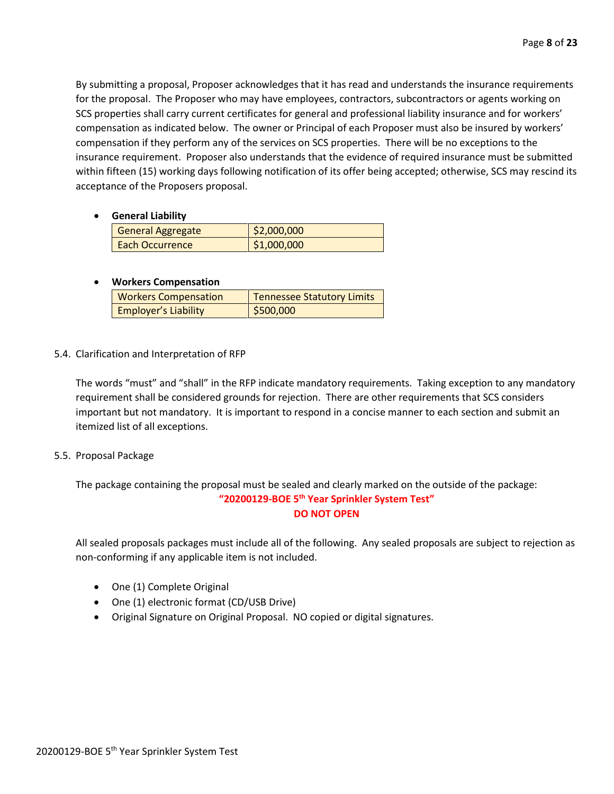By submitting a proposal, Proposer acknowledges that it has read and understands the insurance requirements for the proposal. The Proposer who may have employees, contractors, subcontractors or agents working on SCS properties shall carry current certificates for general and professional liability insurance and for workers' compensation as indicated below. The owner or Principal of each Proposer must also be insured by workers' compensation if they perform any of the services on SCS properties. There will be no exceptions to the insurance requirement. Proposer also understands that the evidence of required insurance must be submitted within fifteen (15) working days following notification of its offer being accepted; otherwise, SCS may rescind its acceptance of the Proposers proposal.

• **General Liability**

| <b>General Aggregate</b> | \$2,000,000 |
|--------------------------|-------------|
| Each Occurrence          | \$1,000,000 |

#### • **Workers Compensation**

| <b>Workers Compensation</b> | <b>Tennessee Statutory Limits</b> |
|-----------------------------|-----------------------------------|
| <b>Employer's Liability</b> | $\frac{1}{500,000}$               |

5.4. Clarification and Interpretation of RFP

The words "must" and "shall" in the RFP indicate mandatory requirements. Taking exception to any mandatory requirement shall be considered grounds for rejection. There are other requirements that SCS considers important but not mandatory. It is important to respond in a concise manner to each section and submit an itemized list of all exceptions.

5.5. Proposal Package

The package containing the proposal must be sealed and clearly marked on the outside of the package: **"20200129-BOE 5 th Year Sprinkler System Test" DO NOT OPEN**

All sealed proposals packages must include all of the following. Any sealed proposals are subject to rejection as non-conforming if any applicable item is not included.

- One (1) Complete Original
- One (1) electronic format (CD/USB Drive)
- Original Signature on Original Proposal. NO copied or digital signatures.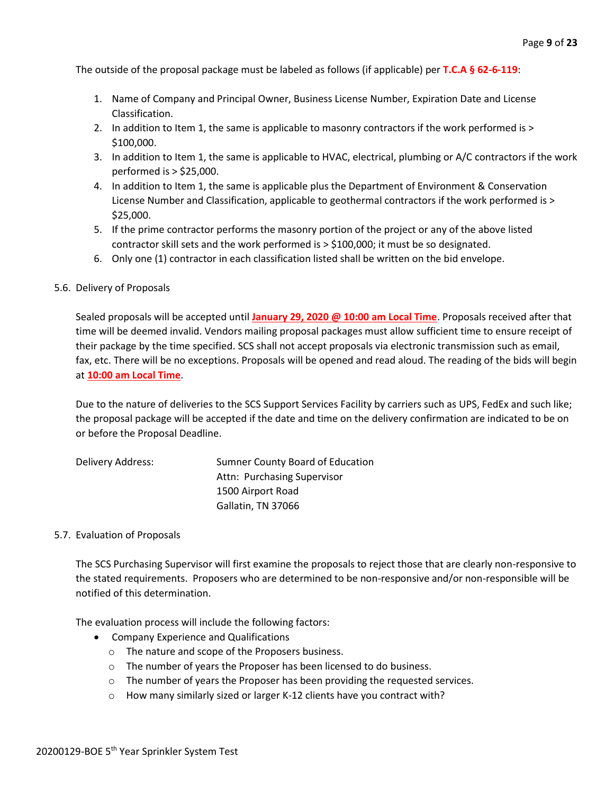The outside of the proposal package must be labeled as follows (if applicable) per **T.C.A § 62-6-119**:

- 1. Name of Company and Principal Owner, Business License Number, Expiration Date and License Classification.
- 2. In addition to Item 1, the same is applicable to masonry contractors if the work performed is > \$100,000.
- 3. In addition to Item 1, the same is applicable to HVAC, electrical, plumbing or A/C contractors if the work performed is > \$25,000.
- 4. In addition to Item 1, the same is applicable plus the Department of Environment & Conservation License Number and Classification, applicable to geothermal contractors if the work performed is > \$25,000.
- 5. If the prime contractor performs the masonry portion of the project or any of the above listed contractor skill sets and the work performed is > \$100,000; it must be so designated.
- 6. Only one (1) contractor in each classification listed shall be written on the bid envelope.

#### 5.6. Delivery of Proposals

Sealed proposals will be accepted until **January 29, 2020 @ 10:00 am Local Time**. Proposals received after that time will be deemed invalid. Vendors mailing proposal packages must allow sufficient time to ensure receipt of their package by the time specified. SCS shall not accept proposals via electronic transmission such as email, fax, etc. There will be no exceptions. Proposals will be opened and read aloud. The reading of the bids will begin at **10:00 am Local Time**.

Due to the nature of deliveries to the SCS Support Services Facility by carriers such as UPS, FedEx and such like; the proposal package will be accepted if the date and time on the delivery confirmation are indicated to be on or before the Proposal Deadline.

| Delivery Address: | Sumner County Board of Education |
|-------------------|----------------------------------|
|                   | Attn: Purchasing Supervisor      |
|                   | 1500 Airport Road                |
|                   | Gallatin, TN 37066               |

#### 5.7. Evaluation of Proposals

The SCS Purchasing Supervisor will first examine the proposals to reject those that are clearly non-responsive to the stated requirements. Proposers who are determined to be non-responsive and/or non-responsible will be notified of this determination.

The evaluation process will include the following factors:

- Company Experience and Qualifications
	- o The nature and scope of the Proposers business.
	- o The number of years the Proposer has been licensed to do business.
	- o The number of years the Proposer has been providing the requested services.
	- o How many similarly sized or larger K-12 clients have you contract with?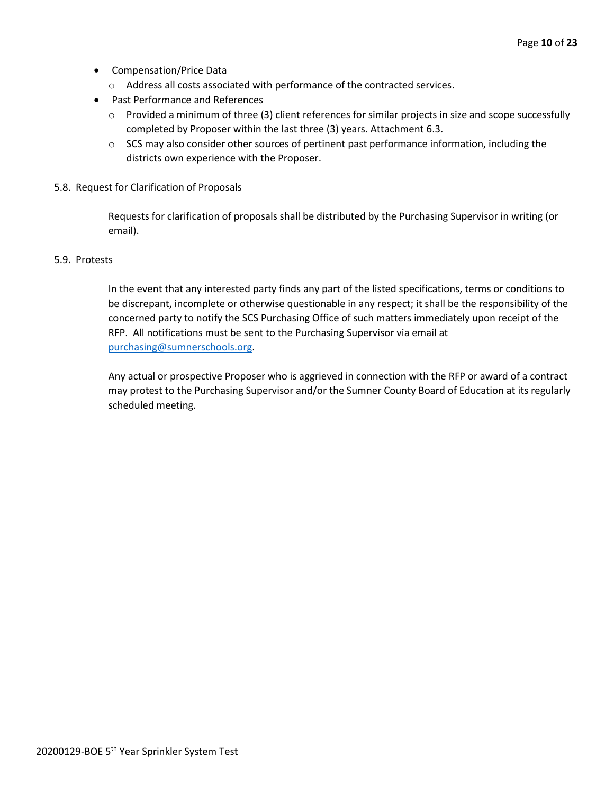- Compensation/Price Data
	- o Address all costs associated with performance of the contracted services.
- Past Performance and References
	- o Provided a minimum of three (3) client references for similar projects in size and scope successfully completed by Proposer within the last three (3) years. Attachment 6.3.
	- $\circ$  SCS may also consider other sources of pertinent past performance information, including the districts own experience with the Proposer.
- 5.8. Request for Clarification of Proposals

Requests for clarification of proposals shall be distributed by the Purchasing Supervisor in writing (or email).

#### 5.9. Protests

In the event that any interested party finds any part of the listed specifications, terms or conditions to be discrepant, incomplete or otherwise questionable in any respect; it shall be the responsibility of the concerned party to notify the SCS Purchasing Office of such matters immediately upon receipt of the RFP. All notifications must be sent to the Purchasing Supervisor via email at [purchasing@sumnerschools.org.](mailto:purchasing@sumnerschools.org)

Any actual or prospective Proposer who is aggrieved in connection with the RFP or award of a contract may protest to the Purchasing Supervisor and/or the Sumner County Board of Education at its regularly scheduled meeting.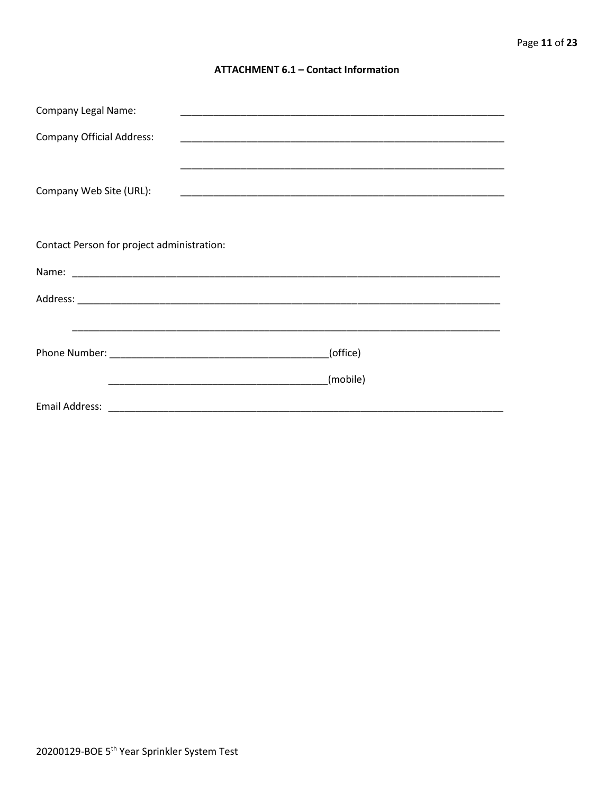#### **ATTACHMENT 6.1 - Contact Information**

| <b>Company Legal Name:</b>                 |          |
|--------------------------------------------|----------|
| <b>Company Official Address:</b>           |          |
|                                            |          |
| Company Web Site (URL):                    |          |
|                                            |          |
|                                            |          |
| Contact Person for project administration: |          |
|                                            |          |
|                                            |          |
|                                            |          |
|                                            | (office) |
|                                            | (mobile) |
|                                            |          |
|                                            |          |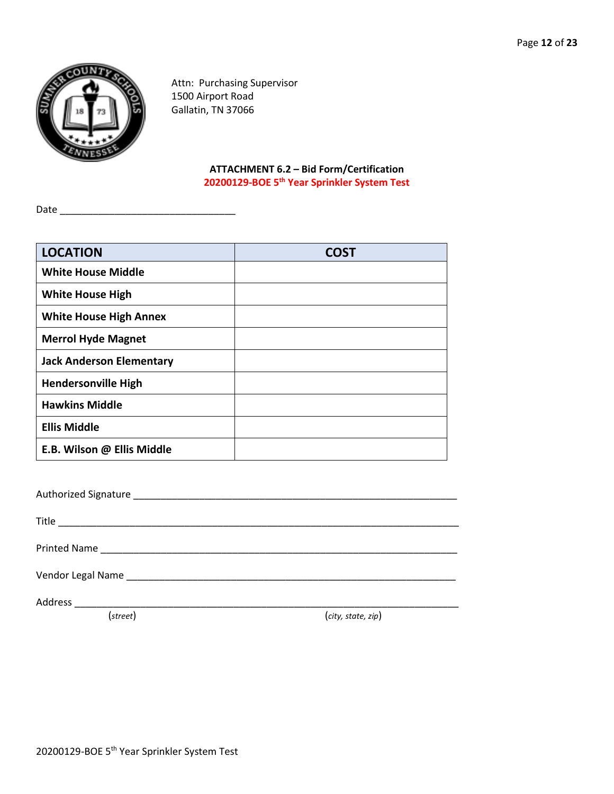

Attn: Purchasing Supervisor 1500 Airport Road Gallatin, TN 37066

## **ATTACHMENT 6.2 – Bid Form/Certification 20200129-BOE 5th Year Sprinkler System Test**

Date \_\_\_\_\_\_\_\_\_\_\_\_\_\_\_\_\_\_\_\_\_\_\_\_\_\_\_\_\_\_\_\_

| <b>LOCATION</b>                 | <b>COST</b> |
|---------------------------------|-------------|
| <b>White House Middle</b>       |             |
| <b>White House High</b>         |             |
| <b>White House High Annex</b>   |             |
| <b>Merrol Hyde Magnet</b>       |             |
| <b>Jack Anderson Elementary</b> |             |
| <b>Hendersonville High</b>      |             |
| <b>Hawkins Middle</b>           |             |
| <b>Ellis Middle</b>             |             |
| E.B. Wilson @ Ellis Middle      |             |

| (street) | (city, state, zip) |
|----------|--------------------|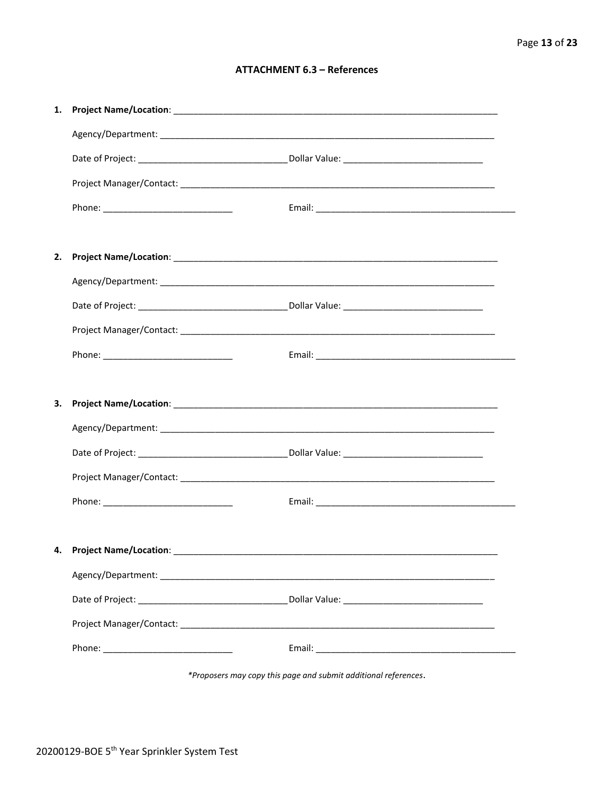#### **ATTACHMENT 6.3 - References**

| 4. Project Name/Location: __________ |  |
|--------------------------------------|--|
|                                      |  |
|                                      |  |
|                                      |  |
|                                      |  |

\*Proposers may copy this page and submit additional references.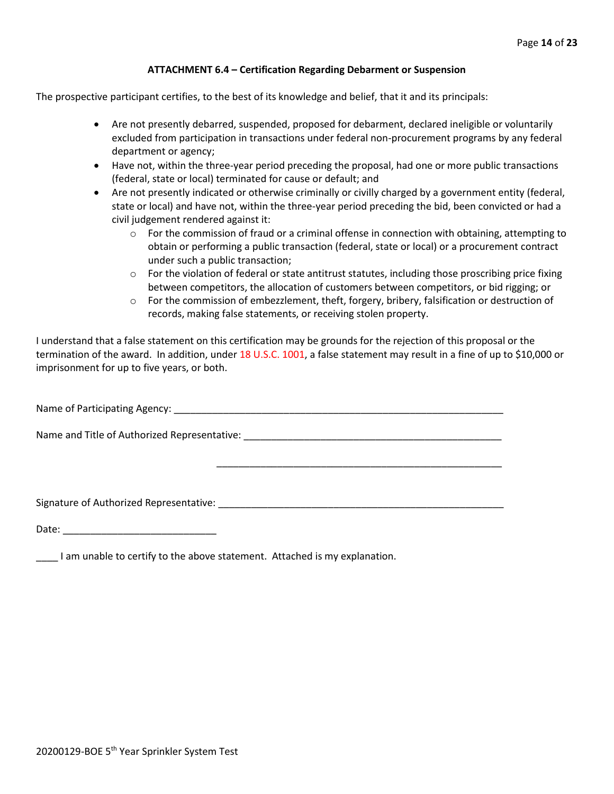#### **ATTACHMENT 6.4 – Certification Regarding Debarment or Suspension**

The prospective participant certifies, to the best of its knowledge and belief, that it and its principals:

- Are not presently debarred, suspended, proposed for debarment, declared ineligible or voluntarily excluded from participation in transactions under federal non-procurement programs by any federal department or agency;
- Have not, within the three-year period preceding the proposal, had one or more public transactions (federal, state or local) terminated for cause or default; and
- Are not presently indicated or otherwise criminally or civilly charged by a government entity (federal, state or local) and have not, within the three-year period preceding the bid, been convicted or had a civil judgement rendered against it:
	- $\circ$  For the commission of fraud or a criminal offense in connection with obtaining, attempting to obtain or performing a public transaction (federal, state or local) or a procurement contract under such a public transaction;
	- $\circ$  For the violation of federal or state antitrust statutes, including those proscribing price fixing between competitors, the allocation of customers between competitors, or bid rigging; or
	- $\circ$  For the commission of embezzlement, theft, forgery, bribery, falsification or destruction of records, making false statements, or receiving stolen property.

\_\_\_\_\_\_\_\_\_\_\_\_\_\_\_\_\_\_\_\_\_\_\_\_\_\_\_\_\_\_\_\_\_\_\_\_\_\_\_\_\_\_\_\_\_\_\_\_\_\_\_\_

I understand that a false statement on this certification may be grounds for the rejection of this proposal or the termination of the award. In addition, under 18 U.S.C. 1001, a false statement may result in a fine of up to \$10,000 or imprisonment for up to five years, or both.

Name of Participating Agency: \_\_\_\_\_\_\_\_\_\_\_\_\_\_\_\_\_\_\_\_\_\_\_\_\_\_\_\_\_\_\_\_\_\_\_\_\_\_\_\_\_\_\_\_\_\_\_\_\_\_\_\_\_\_\_\_\_\_\_\_

Name and Title of Authorized Representative: \_\_\_\_\_\_\_\_\_\_\_\_\_\_\_\_\_\_\_\_\_\_\_\_\_\_\_\_\_\_\_\_\_\_\_

Signature of Authorized Representative: \_\_\_\_\_\_\_\_\_\_\_\_\_\_\_\_\_\_\_\_\_\_\_\_\_\_\_\_\_\_\_\_\_\_\_\_\_\_\_\_\_\_\_\_\_\_\_\_\_\_\_\_

Date: \_\_\_\_\_\_\_\_\_\_\_\_\_\_\_\_\_\_\_\_\_\_\_\_\_\_\_\_

\_\_\_\_ I am unable to certify to the above statement. Attached is my explanation.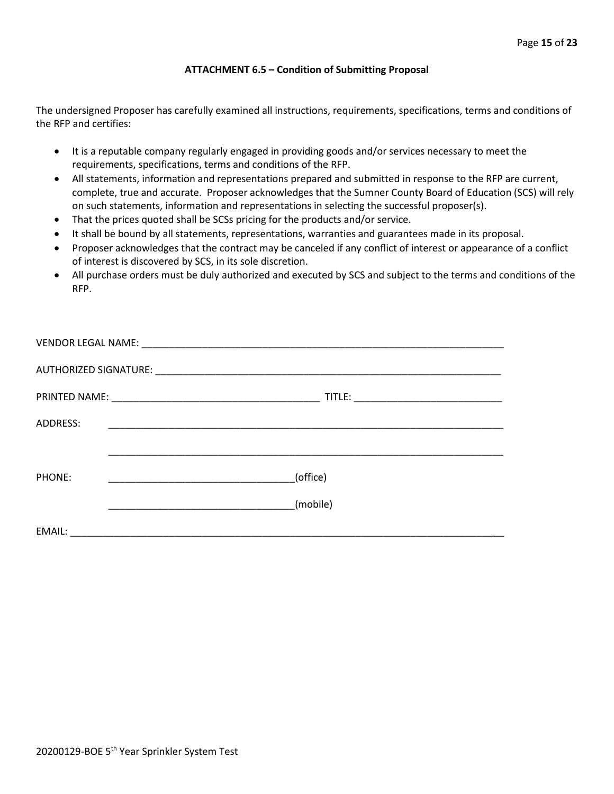#### **ATTACHMENT 6.5 – Condition of Submitting Proposal**

The undersigned Proposer has carefully examined all instructions, requirements, specifications, terms and conditions of the RFP and certifies:

- It is a reputable company regularly engaged in providing goods and/or services necessary to meet the requirements, specifications, terms and conditions of the RFP.
- All statements, information and representations prepared and submitted in response to the RFP are current, complete, true and accurate. Proposer acknowledges that the Sumner County Board of Education (SCS) will rely on such statements, information and representations in selecting the successful proposer(s).
- That the prices quoted shall be SCSs pricing for the products and/or service.
- It shall be bound by all statements, representations, warranties and guarantees made in its proposal.
- Proposer acknowledges that the contract may be canceled if any conflict of interest or appearance of a conflict of interest is discovered by SCS, in its sole discretion.
- All purchase orders must be duly authorized and executed by SCS and subject to the terms and conditions of the RFP.

| ADDRESS: | <u> 1989 - Johann John Stone, markin film yn y system yn y system yn y system yn y system yn y system yn y system</u>            |
|----------|----------------------------------------------------------------------------------------------------------------------------------|
|          |                                                                                                                                  |
| PHONE:   | (office)<br><u> 2000 - Jan James James Jan James James James James James James James James James James James James James Jam</u> |
|          | (mobile)                                                                                                                         |
| EMAIL:   |                                                                                                                                  |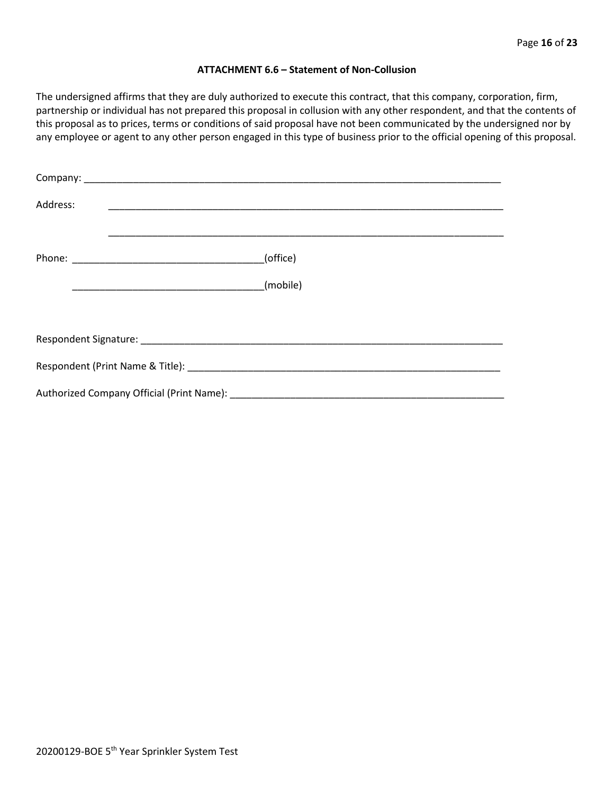#### **ATTACHMENT 6.6 – Statement of Non-Collusion**

The undersigned affirms that they are duly authorized to execute this contract, that this company, corporation, firm, partnership or individual has not prepared this proposal in collusion with any other respondent, and that the contents of this proposal as to prices, terms or conditions of said proposal have not been communicated by the undersigned nor by any employee or agent to any other person engaged in this type of business prior to the official opening of this proposal.

| Address: |                                                                                                                                                                                                                                |
|----------|--------------------------------------------------------------------------------------------------------------------------------------------------------------------------------------------------------------------------------|
|          | (office)                                                                                                                                                                                                                       |
|          | (mobile)                                                                                                                                                                                                                       |
|          |                                                                                                                                                                                                                                |
|          |                                                                                                                                                                                                                                |
|          | Respondent (Print Name & Title): North and South American Section 1996. The Second Section 1997 and Second Second Second Second Second Second Second Second Second Second Second Second Second Second Second Second Second Sec |
|          |                                                                                                                                                                                                                                |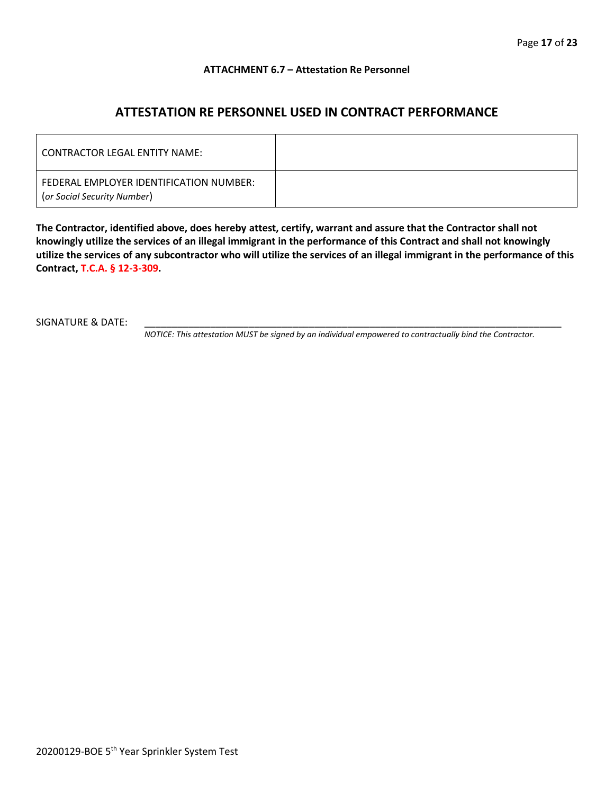#### **ATTACHMENT 6.7 – Attestation Re Personnel**

## **ATTESTATION RE PERSONNEL USED IN CONTRACT PERFORMANCE**

| CONTRACTOR LEGAL ENTITY NAME:                                          |  |
|------------------------------------------------------------------------|--|
| FEDERAL EMPLOYER IDENTIFICATION NUMBER:<br>(or Social Security Number) |  |

**The Contractor, identified above, does hereby attest, certify, warrant and assure that the Contractor shall not knowingly utilize the services of an illegal immigrant in the performance of this Contract and shall not knowingly utilize the services of any subcontractor who will utilize the services of an illegal immigrant in the performance of this Contract, T.C.A. § 12-3-309.**

SIGNATURE & DATE:

*NOTICE: This attestation MUST be signed by an individual empowered to contractually bind the Contractor.*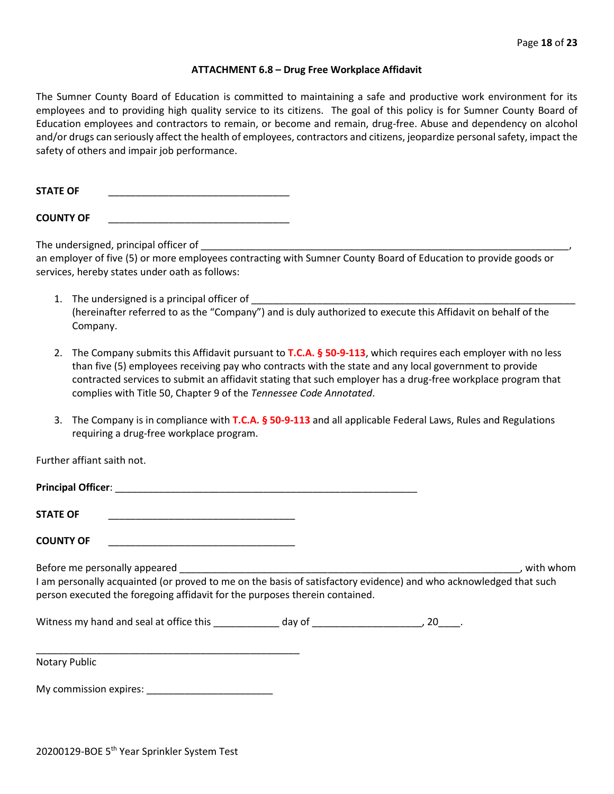#### **ATTACHMENT 6.8 – Drug Free Workplace Affidavit**

The Sumner County Board of Education is committed to maintaining a safe and productive work environment for its employees and to providing high quality service to its citizens. The goal of this policy is for Sumner County Board of Education employees and contractors to remain, or become and remain, drug-free. Abuse and dependency on alcohol and/or drugs can seriously affect the health of employees, contractors and citizens, jeopardize personal safety, impact the safety of others and impair job performance.

STATE OF

**COUNTY OF** \_\_\_\_\_\_\_\_\_\_\_\_\_\_\_\_\_\_\_\_\_\_\_\_\_\_\_\_\_\_\_\_\_

The undersigned, principal officer of

an employer of five (5) or more employees contracting with Sumner County Board of Education to provide goods or services, hereby states under oath as follows:

- 1. The undersigned is a principal officer of (hereinafter referred to as the "Company") and is duly authorized to execute this Affidavit on behalf of the Company.
- 2. The Company submits this Affidavit pursuant to **T.C.A. § 50-9-113**, which requires each employer with no less than five (5) employees receiving pay who contracts with the state and any local government to provide contracted services to submit an affidavit stating that such employer has a drug-free workplace program that complies with Title 50, Chapter 9 of the *Tennessee Code Annotated*.
- 3. The Company is in compliance with **T.C.A. § 50-9-113** and all applicable Federal Laws, Rules and Regulations requiring a drug-free workplace program.

Further affiant saith not.

| <b>Principal Officer:</b> |  |
|---------------------------|--|
|                           |  |
| <b>STATE OF</b>           |  |

**COUNTY OF** \_\_\_\_\_\_\_\_\_\_\_\_\_\_\_\_\_\_\_\_\_\_\_\_\_\_\_\_\_\_\_\_\_\_

Before me personally appeared \_\_\_\_\_\_\_\_\_\_\_\_\_\_\_\_\_\_\_\_\_\_\_\_\_\_\_\_\_\_\_\_\_\_\_\_\_\_\_\_\_\_\_\_\_\_\_\_\_\_\_\_\_\_\_\_\_\_\_\_\_\_, with whom I am personally acquainted (or proved to me on the basis of satisfactory evidence) and who acknowledged that such person executed the foregoing affidavit for the purposes therein contained.

Witness my hand and seal at office this \_\_\_\_\_\_\_\_\_\_\_\_\_ day of \_\_\_\_\_\_\_\_\_\_\_\_\_\_\_\_\_\_\_\_, 20\_\_\_\_.

\_\_\_\_\_\_\_\_\_\_\_\_\_\_\_\_\_\_\_\_\_\_\_\_\_\_\_\_\_\_\_\_\_\_\_\_\_\_\_\_\_\_\_\_\_\_\_\_ Notary Public

My commission expires: \_\_\_\_\_\_\_\_\_\_\_\_\_\_\_\_\_\_\_\_\_\_\_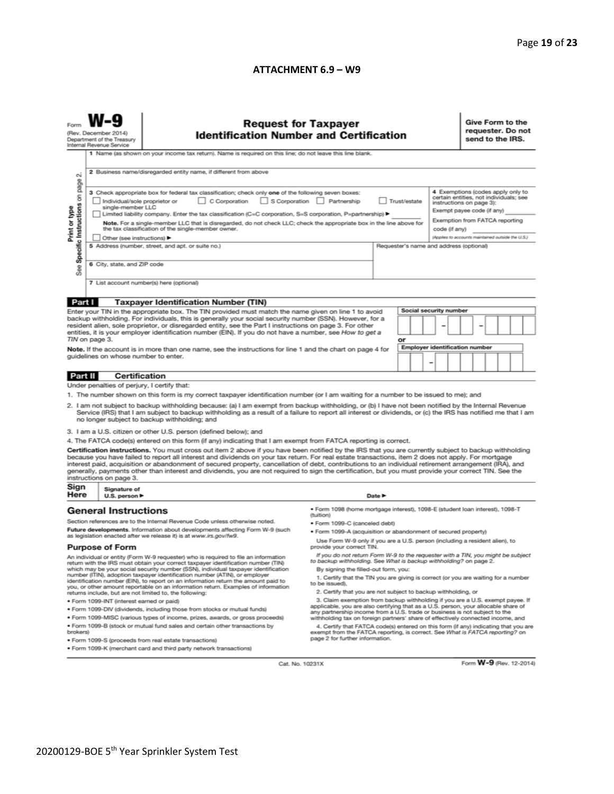#### **ATTACHMENT 6.9 – W9**

|                                                                                                                                                                                                                                                                                                                                                                                                                                                                                                                                                                                                                                                                                                                                                                                                                                                                                                                                                                                                                                                                                                                                                                                                                                                                                                                                                                | <b>Request for Taxpayer</b><br>(Rev. December 2014)<br><b>Identification Number and Certification</b><br>Department of the Treasury<br>Internal Revenue Service<br>1 Name (as shown on your income tax return). Name is required on this line; do not leave this line blank.                                                                                                                                                                                                                                                                                                                                                                                                                                                                                                                                                                                                                                                                                                                                                                                                                                                                                                                                                                                                                                                                                                                                                                                                                                                                                                                                                                                                                                                                                                                                                                                                                                                                                                                                                                                               |                                                                                                                                                                                                                                                                                                                                                                                                                                                                                                                                                        |                                                                                           |                            |    |   |                                                                      |                                                                                                                                                                                                                              | Give Form to the<br>requester. Do not<br>send to the IRS. |  |  |  |  |  |
|----------------------------------------------------------------------------------------------------------------------------------------------------------------------------------------------------------------------------------------------------------------------------------------------------------------------------------------------------------------------------------------------------------------------------------------------------------------------------------------------------------------------------------------------------------------------------------------------------------------------------------------------------------------------------------------------------------------------------------------------------------------------------------------------------------------------------------------------------------------------------------------------------------------------------------------------------------------------------------------------------------------------------------------------------------------------------------------------------------------------------------------------------------------------------------------------------------------------------------------------------------------------------------------------------------------------------------------------------------------|----------------------------------------------------------------------------------------------------------------------------------------------------------------------------------------------------------------------------------------------------------------------------------------------------------------------------------------------------------------------------------------------------------------------------------------------------------------------------------------------------------------------------------------------------------------------------------------------------------------------------------------------------------------------------------------------------------------------------------------------------------------------------------------------------------------------------------------------------------------------------------------------------------------------------------------------------------------------------------------------------------------------------------------------------------------------------------------------------------------------------------------------------------------------------------------------------------------------------------------------------------------------------------------------------------------------------------------------------------------------------------------------------------------------------------------------------------------------------------------------------------------------------------------------------------------------------------------------------------------------------------------------------------------------------------------------------------------------------------------------------------------------------------------------------------------------------------------------------------------------------------------------------------------------------------------------------------------------------------------------------------------------------------------------------------------------------|--------------------------------------------------------------------------------------------------------------------------------------------------------------------------------------------------------------------------------------------------------------------------------------------------------------------------------------------------------------------------------------------------------------------------------------------------------------------------------------------------------------------------------------------------------|-------------------------------------------------------------------------------------------|----------------------------|----|---|----------------------------------------------------------------------|------------------------------------------------------------------------------------------------------------------------------------------------------------------------------------------------------------------------------|-----------------------------------------------------------|--|--|--|--|--|
| N<br>Specific Instructions on page<br>Print or type<br>See                                                                                                                                                                                                                                                                                                                                                                                                                                                                                                                                                                                                                                                                                                                                                                                                                                                                                                                                                                                                                                                                                                                                                                                                                                                                                                     | 2 Business name/disregarded entity name, if different from above<br>3 Check appropriate box for federal tax classification; check only one of the following seven boxes:<br>C Corporation<br>S Corporation Partnership<br>Trust/estate<br>Individual/sole proprietor or<br>single-member LLC<br>Limited liability company. Enter the tax classification (C=C corporation, S=S corporation, P=partnership) ▶<br>Note. For a single-member LLC that is disregarded, do not check LLC; check the appropriate box in the line above for<br>the tax classification of the single-member owner.<br>code (if any)<br>Other (see instructions) ▶<br>5 Address (number, street, and apt. or suite no.)<br>Requester's name and address (optional)<br>6 City, state, and ZIP code<br>7 List account number(s) here (optional)                                                                                                                                                                                                                                                                                                                                                                                                                                                                                                                                                                                                                                                                                                                                                                                                                                                                                                                                                                                                                                                                                                                                                                                                                                                        |                                                                                                                                                                                                                                                                                                                                                                                                                                                                                                                                                        |                                                                                           |                            |    |   |                                                                      | 4 Exemptions (codes apply only to<br>certain entities, not individuals; see<br>instructions on page 3):<br>Exempt payee code (if any)<br>Exemption from FATCA reporting<br>(Applies to accounts maintained outside the U.S.) |                                                           |  |  |  |  |  |
| Part I                                                                                                                                                                                                                                                                                                                                                                                                                                                                                                                                                                                                                                                                                                                                                                                                                                                                                                                                                                                                                                                                                                                                                                                                                                                                                                                                                         |                                                                                                                                                                                                                                                                                                                                                                                                                                                                                                                                                                                                                                                                                                                                                                                                                                                                                                                                                                                                                                                                                                                                                                                                                                                                                                                                                                                                                                                                                                                                                                                                                                                                                                                                                                                                                                                                                                                                                                                                                                                                            | <b>Taxpayer Identification Number (TIN)</b>                                                                                                                                                                                                                                                                                                                                                                                                                                                                                                            |                                                                                           |                            |    |   |                                                                      |                                                                                                                                                                                                                              |                                                           |  |  |  |  |  |
|                                                                                                                                                                                                                                                                                                                                                                                                                                                                                                                                                                                                                                                                                                                                                                                                                                                                                                                                                                                                                                                                                                                                                                                                                                                                                                                                                                | TIN on page 3.<br>guidelines on whose number to enter.                                                                                                                                                                                                                                                                                                                                                                                                                                                                                                                                                                                                                                                                                                                                                                                                                                                                                                                                                                                                                                                                                                                                                                                                                                                                                                                                                                                                                                                                                                                                                                                                                                                                                                                                                                                                                                                                                                                                                                                                                     | Enter your TIN in the appropriate box. The TIN provided must match the name given on line 1 to avoid<br>backup withholding. For individuals, this is generally your social security number (SSN). However, for a<br>resident alien, sole proprietor, or disregarded entity, see the Part I instructions on page 3. For other<br>entities, it is your employer identification number (EIN). If you do not have a number, see How to get a<br>Note. If the account is in more than one name, see the instructions for line 1 and the chart on page 4 for |                                                                                           |                            | or | - | Social security number<br>-<br><b>Employer identification number</b> |                                                                                                                                                                                                                              |                                                           |  |  |  |  |  |
| Part II                                                                                                                                                                                                                                                                                                                                                                                                                                                                                                                                                                                                                                                                                                                                                                                                                                                                                                                                                                                                                                                                                                                                                                                                                                                                                                                                                        | <b>Certification</b>                                                                                                                                                                                                                                                                                                                                                                                                                                                                                                                                                                                                                                                                                                                                                                                                                                                                                                                                                                                                                                                                                                                                                                                                                                                                                                                                                                                                                                                                                                                                                                                                                                                                                                                                                                                                                                                                                                                                                                                                                                                       |                                                                                                                                                                                                                                                                                                                                                                                                                                                                                                                                                        |                                                                                           |                            |    |   |                                                                      |                                                                                                                                                                                                                              |                                                           |  |  |  |  |  |
|                                                                                                                                                                                                                                                                                                                                                                                                                                                                                                                                                                                                                                                                                                                                                                                                                                                                                                                                                                                                                                                                                                                                                                                                                                                                                                                                                                | Under penalties of perjury, I certify that:                                                                                                                                                                                                                                                                                                                                                                                                                                                                                                                                                                                                                                                                                                                                                                                                                                                                                                                                                                                                                                                                                                                                                                                                                                                                                                                                                                                                                                                                                                                                                                                                                                                                                                                                                                                                                                                                                                                                                                                                                                |                                                                                                                                                                                                                                                                                                                                                                                                                                                                                                                                                        |                                                                                           |                            |    |   |                                                                      |                                                                                                                                                                                                                              |                                                           |  |  |  |  |  |
| 1. The number shown on this form is my correct taxpayer identification number (or I am waiting for a number to be issued to me); and<br>2. I am not subject to backup withholding because: (a) I am exempt from backup withholding, or (b) I have not been notified by the Internal Revenue<br>Service (IRS) that I am subject to backup withholding as a result of a failure to report all interest or dividends, or (c) the IRS has notified me that I am<br>no longer subject to backup withholding; and<br>3. I am a U.S. citizen or other U.S. person (defined below); and<br>4. The FATCA code(s) entered on this form (if any) indicating that I am exempt from FATCA reporting is correct.<br>Certification instructions. You must cross out item 2 above if you have been notified by the IRS that you are currently subject to backup withholding<br>because you have failed to report all interest and dividends on your tax return. For real estate transactions, item 2 does not apply. For mortgage<br>interest paid, acquisition or abandonment of secured property, cancellation of debt, contributions to an individual retirement arrangement (IRA), and<br>generally, payments other than interest and dividends, you are not required to sign the certification, but you must provide your correct TIN. See the<br>instructions on page 3. |                                                                                                                                                                                                                                                                                                                                                                                                                                                                                                                                                                                                                                                                                                                                                                                                                                                                                                                                                                                                                                                                                                                                                                                                                                                                                                                                                                                                                                                                                                                                                                                                                                                                                                                                                                                                                                                                                                                                                                                                                                                                            |                                                                                                                                                                                                                                                                                                                                                                                                                                                                                                                                                        |                                                                                           |                            |    |   |                                                                      |                                                                                                                                                                                                                              |                                                           |  |  |  |  |  |
| Sign<br>Here                                                                                                                                                                                                                                                                                                                                                                                                                                                                                                                                                                                                                                                                                                                                                                                                                                                                                                                                                                                                                                                                                                                                                                                                                                                                                                                                                   | Signature of                                                                                                                                                                                                                                                                                                                                                                                                                                                                                                                                                                                                                                                                                                                                                                                                                                                                                                                                                                                                                                                                                                                                                                                                                                                                                                                                                                                                                                                                                                                                                                                                                                                                                                                                                                                                                                                                                                                                                                                                                                                               |                                                                                                                                                                                                                                                                                                                                                                                                                                                                                                                                                        |                                                                                           |                            |    |   |                                                                      |                                                                                                                                                                                                                              |                                                           |  |  |  |  |  |
|                                                                                                                                                                                                                                                                                                                                                                                                                                                                                                                                                                                                                                                                                                                                                                                                                                                                                                                                                                                                                                                                                                                                                                                                                                                                                                                                                                | U.S. person ▶<br><b>General Instructions</b>                                                                                                                                                                                                                                                                                                                                                                                                                                                                                                                                                                                                                                                                                                                                                                                                                                                                                                                                                                                                                                                                                                                                                                                                                                                                                                                                                                                                                                                                                                                                                                                                                                                                                                                                                                                                                                                                                                                                                                                                                               |                                                                                                                                                                                                                                                                                                                                                                                                                                                                                                                                                        | · Form 1098 (home mortgage interest), 1098-E (student loan interest), 1098-T<br>(tuition) | Date $\blacktriangleright$ |    |   |                                                                      |                                                                                                                                                                                                                              |                                                           |  |  |  |  |  |
|                                                                                                                                                                                                                                                                                                                                                                                                                                                                                                                                                                                                                                                                                                                                                                                                                                                                                                                                                                                                                                                                                                                                                                                                                                                                                                                                                                | Section references are to the Internal Revenue Code unless otherwise noted.<br>· Form 1099-C (canceled debt)<br>Future developments. Information about developments affecting Form W-9 (such<br>. Form 1099-A (acquisition or abandonment of secured property)<br>as legislation enacted after we release it) is at www.irs.gov/fw9.<br>Use Form W-9 only if you are a U.S. person (including a resident alien), to<br>provide your correct TIN.<br><b>Purpose of Form</b><br>If you do not return Form W-9 to the requester with a TIN, you might be subject<br>An individual or entity (Form W-9 requester) who is required to file an information<br>to backup withholding. See What is backup withholding? on page 2.<br>return with the IRS must obtain your correct taxpayer identification number (TIN)<br>which may be your social security number (SSN), individual taxpayer identification<br>By signing the filled-out form, you:<br>number (ITIN), adoption taxpayer identification number (ATIN), or employer<br>1. Certify that the TIN you are giving is correct (or you are waiting for a number<br>identification number (EIN), to report on an information return the amount paid to<br>to be issued).<br>you, or other amount reportable on an information return. Examples of information<br>2. Certify that you are not subject to backup withholding, or<br>returns include, but are not limited to, the following:<br>3. Claim exemption from backup withholding if you are a U.S. exempt payee. If<br>· Form 1099-INT (interest earned or paid)<br>applicable, you are also certifying that as a U.S. person, your allocable share of<br>. Form 1099-DIV (dividends, including those from stocks or mutual funds)<br>any partnership income from a U.S. trade or business is not subject to the<br>* Form 1099-MISC (various types of income, prizes, awards, or gross proceeds)<br>withholding tax on foreign partners' share of effectively connected income, and<br>. Form 1099-B (stock or mutual fund sales and certain other transactions by |                                                                                                                                                                                                                                                                                                                                                                                                                                                                                                                                                        |                                                                                           |                            |    |   |                                                                      |                                                                                                                                                                                                                              |                                                           |  |  |  |  |  |
| brokers)                                                                                                                                                                                                                                                                                                                                                                                                                                                                                                                                                                                                                                                                                                                                                                                                                                                                                                                                                                                                                                                                                                                                                                                                                                                                                                                                                       | 4. Certify that FATCA code(s) entered on this form (if any) indicating that you are<br>exempt from the FATCA reporting, is correct. See What is FATCA reporting? on<br>page 2 for further information.<br>· Form 1099-S (proceeds from real estate transactions)<br>. Form 1099-K (merchant card and third party network transactions)                                                                                                                                                                                                                                                                                                                                                                                                                                                                                                                                                                                                                                                                                                                                                                                                                                                                                                                                                                                                                                                                                                                                                                                                                                                                                                                                                                                                                                                                                                                                                                                                                                                                                                                                     |                                                                                                                                                                                                                                                                                                                                                                                                                                                                                                                                                        |                                                                                           |                            |    |   |                                                                      |                                                                                                                                                                                                                              |                                                           |  |  |  |  |  |

Cat. No. 10231X

Form **W-9** (Rev. 12-2014)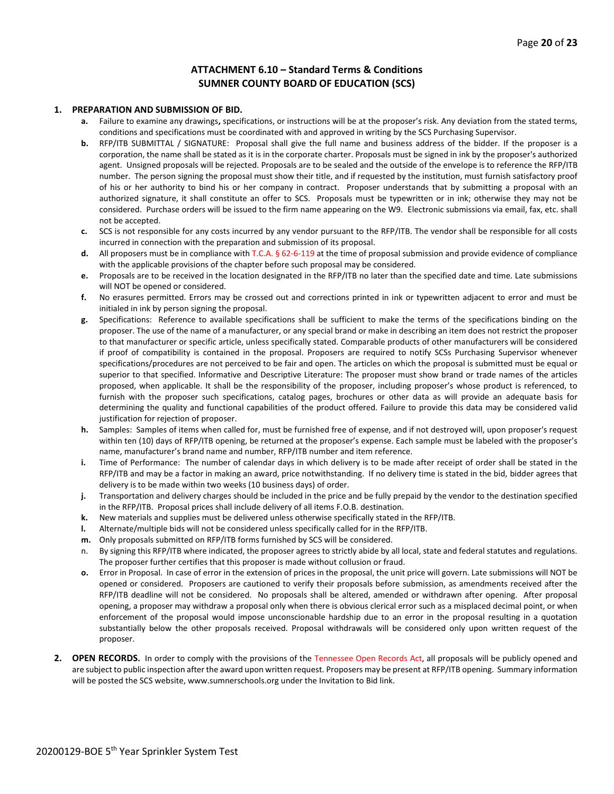#### **ATTACHMENT 6.10 – Standard Terms & Conditions SUMNER COUNTY BOARD OF EDUCATION (SCS)**

#### **1. PREPARATION AND SUBMISSION OF BID.**

- **a.** Failure to examine any drawings**,** specifications, or instructions will be at the proposer's risk. Any deviation from the stated terms, conditions and specifications must be coordinated with and approved in writing by the SCS Purchasing Supervisor.
- **b.** RFP/ITB SUBMITTAL / SIGNATURE: Proposal shall give the full name and business address of the bidder. If the proposer is a corporation, the name shall be stated as it is in the corporate charter. Proposals must be signed in ink by the proposer's authorized agent. Unsigned proposals will be rejected. Proposals are to be sealed and the outside of the envelope is to reference the RFP/ITB number. The person signing the proposal must show their title, and if requested by the institution, must furnish satisfactory proof of his or her authority to bind his or her company in contract. Proposer understands that by submitting a proposal with an authorized signature, it shall constitute an offer to SCS. Proposals must be typewritten or in ink; otherwise they may not be considered. Purchase orders will be issued to the firm name appearing on the W9. Electronic submissions via email, fax, etc. shall not be accepted.
- **c.** SCS is not responsible for any costs incurred by any vendor pursuant to the RFP/ITB. The vendor shall be responsible for all costs incurred in connection with the preparation and submission of its proposal.
- **d.** All proposers must be in compliance with T.C.A. § 62-6-119 at the time of proposal submission and provide evidence of compliance with the applicable provisions of the chapter before such proposal may be considered.
- **e.** Proposals are to be received in the location designated in the RFP/ITB no later than the specified date and time. Late submissions will NOT be opened or considered.
- **f.** No erasures permitted. Errors may be crossed out and corrections printed in ink or typewritten adjacent to error and must be initialed in ink by person signing the proposal.
- **g.** Specifications: Reference to available specifications shall be sufficient to make the terms of the specifications binding on the proposer. The use of the name of a manufacturer, or any special brand or make in describing an item does not restrict the proposer to that manufacturer or specific article, unless specifically stated. Comparable products of other manufacturers will be considered if proof of compatibility is contained in the proposal. Proposers are required to notify SCSs Purchasing Supervisor whenever specifications/procedures are not perceived to be fair and open. The articles on which the proposal is submitted must be equal or superior to that specified. Informative and Descriptive Literature: The proposer must show brand or trade names of the articles proposed, when applicable. It shall be the responsibility of the proposer, including proposer's whose product is referenced, to furnish with the proposer such specifications, catalog pages, brochures or other data as will provide an adequate basis for determining the quality and functional capabilities of the product offered. Failure to provide this data may be considered valid justification for rejection of proposer.
- **h.** Samples: Samples of items when called for, must be furnished free of expense, and if not destroyed will, upon proposer's request within ten (10) days of RFP/ITB opening, be returned at the proposer's expense. Each sample must be labeled with the proposer's name, manufacturer's brand name and number, RFP/ITB number and item reference.
- **i.** Time of Performance: The number of calendar days in which delivery is to be made after receipt of order shall be stated in the RFP/ITB and may be a factor in making an award, price notwithstanding. If no delivery time is stated in the bid, bidder agrees that delivery is to be made within two weeks (10 business days) of order.
- **j.** Transportation and delivery charges should be included in the price and be fully prepaid by the vendor to the destination specified in the RFP/ITB. Proposal prices shall include delivery of all items F.O.B. destination.
- **k.** New materials and supplies must be delivered unless otherwise specifically stated in the RFP/ITB.
- **l.** Alternate/multiple bids will not be considered unless specifically called for in the RFP/ITB.
- **m.** Only proposals submitted on RFP/ITB forms furnished by SCS will be considered.
- n. By signing this RFP/ITB where indicated, the proposer agrees to strictly abide by all local, state and federal statutes and regulations. The proposer further certifies that this proposer is made without collusion or fraud.
- **o.** Error in Proposal. In case of error in the extension of prices in the proposal, the unit price will govern. Late submissions will NOT be opened or considered. Proposers are cautioned to verify their proposals before submission, as amendments received after the RFP/ITB deadline will not be considered. No proposals shall be altered, amended or withdrawn after opening. After proposal opening, a proposer may withdraw a proposal only when there is obvious clerical error such as a misplaced decimal point, or when enforcement of the proposal would impose unconscionable hardship due to an error in the proposal resulting in a quotation substantially below the other proposals received. Proposal withdrawals will be considered only upon written request of the proposer.
- **2. OPEN RECORDS.** In order to comply with the provisions of the Tennessee Open Records Act, all proposals will be publicly opened and are subject to public inspection after the award upon written request. Proposers may be present at RFP/ITB opening. Summary information will be posted the SCS website, www.sumnerschools.org under the Invitation to Bid link.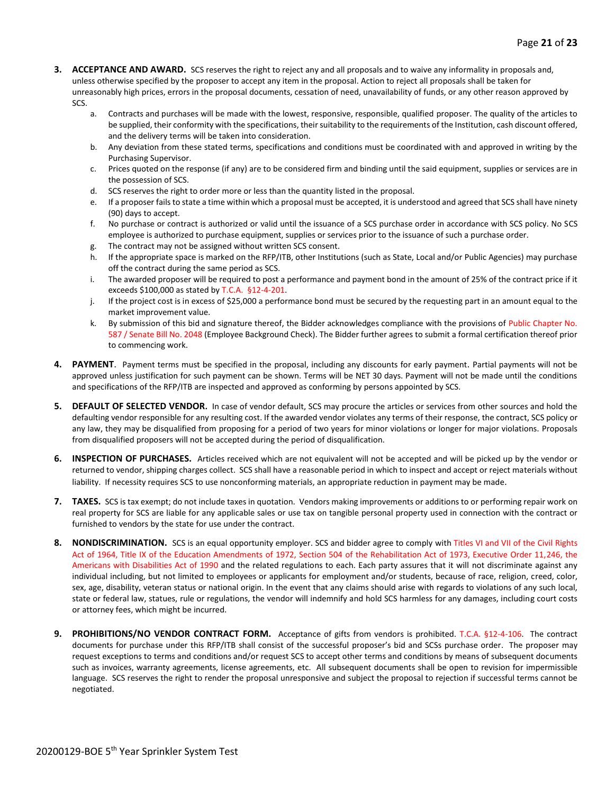- **3. ACCEPTANCE AND AWARD.** SCS reserves the right to reject any and all proposals and to waive any informality in proposals and, unless otherwise specified by the proposer to accept any item in the proposal. Action to reject all proposals shall be taken for unreasonably high prices, errors in the proposal documents, cessation of need, unavailability of funds, or any other reason approved by SCS.
	- a. Contracts and purchases will be made with the lowest, responsive, responsible, qualified proposer. The quality of the articles to be supplied, their conformity with the specifications, their suitability to the requirements of the Institution, cash discount offered, and the delivery terms will be taken into consideration.
	- b. Any deviation from these stated terms, specifications and conditions must be coordinated with and approved in writing by the Purchasing Supervisor.
	- c. Prices quoted on the response (if any) are to be considered firm and binding until the said equipment, supplies or services are in the possession of SCS.
	- d. SCS reserves the right to order more or less than the quantity listed in the proposal.
	- e. If a proposer fails to state a time within which a proposal must be accepted, it is understood and agreed that SCS shall have ninety (90) days to accept.
	- f. No purchase or contract is authorized or valid until the issuance of a SCS purchase order in accordance with SCS policy. No SCS employee is authorized to purchase equipment, supplies or services prior to the issuance of such a purchase order.
	- g. The contract may not be assigned without written SCS consent.
	- h. If the appropriate space is marked on the RFP/ITB, other Institutions (such as State, Local and/or Public Agencies) may purchase off the contract during the same period as SCS.
	- i. The awarded proposer will be required to post a performance and payment bond in the amount of 25% of the contract price if it exceeds \$100,000 as stated by T.C.A. §12-4-201.
	- j. If the project cost is in excess of \$25,000 a performance bond must be secured by the requesting part in an amount equal to the market improvement value.
	- k. By submission of this bid and signature thereof, the Bidder acknowledges compliance with the provisions of Public Chapter No. 587 / Senate Bill No. 2048 (Employee Background Check). The Bidder further agrees to submit a formal certification thereof prior to commencing work.
- **4. PAYMENT**. Payment terms must be specified in the proposal, including any discounts for early payment. Partial payments will not be approved unless justification for such payment can be shown. Terms will be NET 30 days. Payment will not be made until the conditions and specifications of the RFP/ITB are inspected and approved as conforming by persons appointed by SCS.
- **5. DEFAULT OF SELECTED VENDOR.** In case of vendor default, SCS may procure the articles or services from other sources and hold the defaulting vendor responsible for any resulting cost. If the awarded vendor violates any terms of their response, the contract, SCS policy or any law, they may be disqualified from proposing for a period of two years for minor violations or longer for major violations. Proposals from disqualified proposers will not be accepted during the period of disqualification.
- **6. INSPECTION OF PURCHASES.** Articles received which are not equivalent will not be accepted and will be picked up by the vendor or returned to vendor, shipping charges collect. SCS shall have a reasonable period in which to inspect and accept or reject materials without liability. If necessity requires SCS to use nonconforming materials, an appropriate reduction in payment may be made.
- **7. TAXES.** SCS is tax exempt; do not include taxes in quotation. Vendors making improvements or additions to or performing repair work on real property for SCS are liable for any applicable sales or use tax on tangible personal property used in connection with the contract or furnished to vendors by the state for use under the contract.
- **8. NONDISCRIMINATION.** SCS is an equal opportunity employer. SCS and bidder agree to comply with Titles VI and VII of the Civil Rights Act of 1964, Title IX of the Education Amendments of 1972, Section 504 of the Rehabilitation Act of 1973, Executive Order 11,246, the Americans with Disabilities Act of 1990 and the related regulations to each. Each party assures that it will not discriminate against any individual including, but not limited to employees or applicants for employment and/or students, because of race, religion, creed, color, sex, age, disability, veteran status or national origin. In the event that any claims should arise with regards to violations of any such local, state or federal law, statues, rule or regulations, the vendor will indemnify and hold SCS harmless for any damages, including court costs or attorney fees, which might be incurred.
- **9. PROHIBITIONS/NO VENDOR CONTRACT FORM.** Acceptance of gifts from vendors is prohibited. T.C.A. §12-4-106. The contract documents for purchase under this RFP/ITB shall consist of the successful proposer's bid and SCSs purchase order. The proposer may request exceptions to terms and conditions and/or request SCS to accept other terms and conditions by means of subsequent documents such as invoices, warranty agreements, license agreements, etc. All subsequent documents shall be open to revision for impermissible language. SCS reserves the right to render the proposal unresponsive and subject the proposal to rejection if successful terms cannot be negotiated.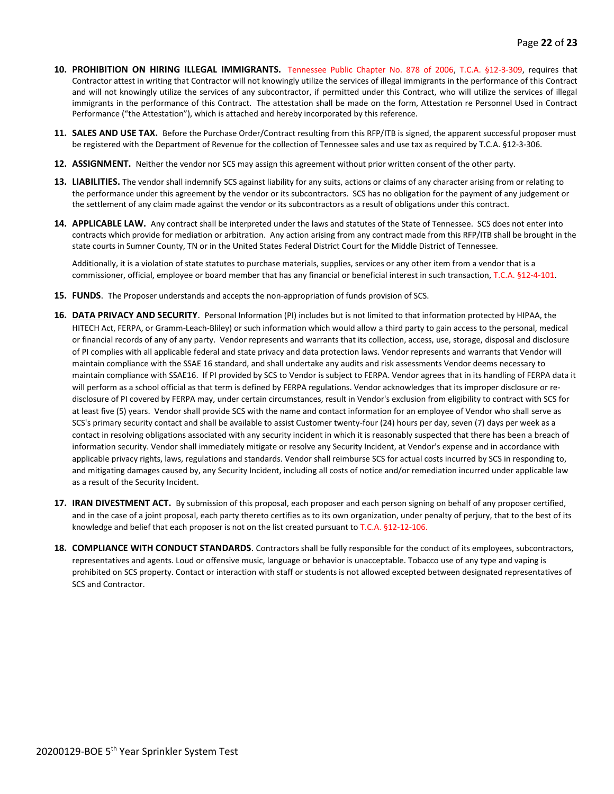- **10. PROHIBITION ON HIRING ILLEGAL IMMIGRANTS.** Tennessee Public Chapter No. 878 of 2006, T.C.A. §12-3-309, requires that Contractor attest in writing that Contractor will not knowingly utilize the services of illegal immigrants in the performance of this Contract and will not knowingly utilize the services of any subcontractor, if permitted under this Contract, who will utilize the services of illegal immigrants in the performance of this Contract. The attestation shall be made on the form, Attestation re Personnel Used in Contract Performance ("the Attestation"), which is attached and hereby incorporated by this reference.
- **11. SALES AND USE TAX.** Before the Purchase Order/Contract resulting from this RFP/ITB is signed, the apparent successful proposer must be registered with the Department of Revenue for the collection of Tennessee sales and use tax as required by T.C.A. §12-3-306.
- **12. ASSIGNMENT.** Neither the vendor nor SCS may assign this agreement without prior written consent of the other party.
- **13. LIABILITIES.** The vendor shall indemnify SCS against liability for any suits, actions or claims of any character arising from or relating to the performance under this agreement by the vendor or its subcontractors. SCS has no obligation for the payment of any judgement or the settlement of any claim made against the vendor or its subcontractors as a result of obligations under this contract.
- **14. APPLICABLE LAW.** Any contract shall be interpreted under the laws and statutes of the State of Tennessee. SCS does not enter into contracts which provide for mediation or arbitration. Any action arising from any contract made from this RFP/ITB shall be brought in the state courts in Sumner County, TN or in the United States Federal District Court for the Middle District of Tennessee.

Additionally, it is a violation of state statutes to purchase materials, supplies, services or any other item from a vendor that is a commissioner, official, employee or board member that has any financial or beneficial interest in such transaction, T.C.A. §12-4-101.

- **15. FUNDS**. The Proposer understands and accepts the non-appropriation of funds provision of SCS.
- **16. DATA PRIVACY AND SECURITY**. Personal Information (PI) includes but is not limited to that information protected by HIPAA, the HITECH Act, FERPA, or Gramm-Leach-Bliley) or such information which would allow a third party to gain access to the personal, medical or financial records of any of any party. Vendor represents and warrants that its collection, access, use, storage, disposal and disclosure of PI complies with all applicable federal and state privacy and data protection laws. Vendor represents and warrants that Vendor will maintain compliance with the SSAE 16 standard, and shall undertake any audits and risk assessments Vendor deems necessary to maintain compliance with SSAE16. If PI provided by SCS to Vendor is subject to FERPA. Vendor agrees that in its handling of FERPA data it will perform as a school official as that term is defined by FERPA regulations. Vendor acknowledges that its improper disclosure or redisclosure of PI covered by FERPA may, under certain circumstances, result in Vendor's exclusion from eligibility to contract with SCS for at least five (5) years. Vendor shall provide SCS with the name and contact information for an employee of Vendor who shall serve as SCS's primary security contact and shall be available to assist Customer twenty-four (24) hours per day, seven (7) days per week as a contact in resolving obligations associated with any security incident in which it is reasonably suspected that there has been a breach of information security. Vendor shall immediately mitigate or resolve any Security Incident, at Vendor's expense and in accordance with applicable privacy rights, laws, regulations and standards. Vendor shall reimburse SCS for actual costs incurred by SCS in responding to, and mitigating damages caused by, any Security Incident, including all costs of notice and/or remediation incurred under applicable law as a result of the Security Incident.
- **17. IRAN DIVESTMENT ACT.** By submission of this proposal, each proposer and each person signing on behalf of any proposer certified, and in the case of a joint proposal, each party thereto certifies as to its own organization, under penalty of perjury, that to the best of its knowledge and belief that each proposer is not on the list created pursuant to T.C.A. §12-12-106.
- **18. COMPLIANCE WITH CONDUCT STANDARDS**. Contractors shall be fully responsible for the conduct of its employees, subcontractors, representatives and agents. Loud or offensive music, language or behavior is unacceptable. Tobacco use of any type and vaping is prohibited on SCS property. Contact or interaction with staff or students is not allowed excepted between designated representatives of SCS and Contractor.